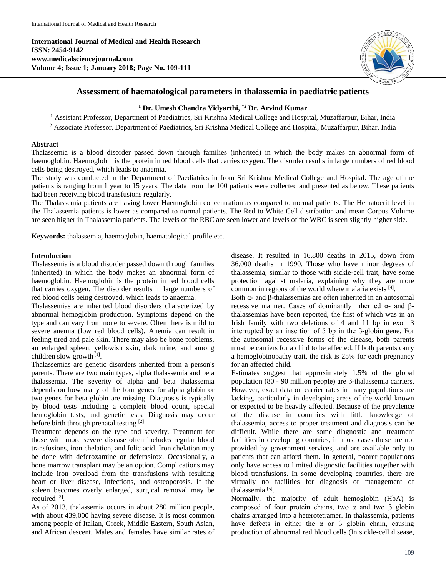**International Journal of Medical and Health Research ISSN: 2454-9142 www.medicalsciencejournal.com Volume 4; Issue 1; January 2018; Page No. 109-111**



# **Assessment of haematological parameters in thalassemia in paediatric patients**

# **<sup>1</sup> Dr. Umesh Chandra Vidyarthi, \*2 Dr. Arvind Kumar**

<sup>1</sup> Assistant Professor, Department of Paediatrics, Sri Krishna Medical College and Hospital, Muzaffarpur, Bihar, India <sup>2</sup> Associate Professor, Department of Paediatrics, Sri Krishna Medical College and Hospital, Muzaffarpur, Bihar, India

### **Abstract**

Thalassemia is a blood disorder passed down through families (inherited) in which the body makes an abnormal form of haemoglobin. Haemoglobin is the protein in red blood cells that carries oxygen. The disorder results in large numbers of red blood cells being destroyed, which leads to anaemia.

The study was conducted in the Department of Paediatrics in from Sri Krishna Medical College and Hospital. The age of the patients is ranging from 1 year to 15 years. The data from the 100 patients were collected and presented as below. These patients had been receiving blood transfusions regularly.

The Thalassemia patients are having lower Haemoglobin concentration as compared to normal patients. The Hematocrit level in the Thalassemia patients is lower as compared to normal patients. The Red to White Cell distribution and mean Corpus Volume are seen higher in Thalassemia patients. The levels of the RBC are seen lower and levels of the WBC is seen slightly higher side.

**Keywords:** thalassemia, haemoglobin, haematological profile etc.

## **Introduction**

Thalassemia is a blood disorder passed down through families (inherited) in which the body makes an abnormal form of haemoglobin. Haemoglobin is the protein in red blood cells that carries oxygen. The disorder results in large numbers of red blood cells being destroyed, which leads to anaemia.

Thalassemias are inherited blood disorders characterized by abnormal hemoglobin production. Symptoms depend on the type and can vary from none to severe. Often there is mild to severe anemia (low red blood cells). Anemia can result in feeling tired and pale skin. There may also be bone problems, an enlarged spleen, yellowish skin, dark urine, and among children slow growth<sup>[1]</sup>.

Thalassemias are genetic disorders inherited from a person's parents. There are two main types, alpha thalassemia and beta thalassemia. The severity of alpha and beta thalassemia depends on how many of the four genes for alpha globin or two genes for beta globin are missing. Diagnosis is typically by blood tests including a complete blood count, special hemoglobin tests, and genetic tests. Diagnosis may occur before birth through prenatal testing [2].

Treatment depends on the type and severity. Treatment for those with more severe disease often includes regular blood transfusions, iron chelation, and folic acid. Iron chelation may be done with deferoxamine or deferasirox. Occasionally, a bone marrow transplant may be an option. Complications may include iron overload from the transfusions with resulting heart or liver disease, infections, and osteoporosis. If the spleen becomes overly enlarged, surgical removal may be required [3].

As of 2013, thalassemia occurs in about 280 million people, with about 439,000 having severe disease. It is most common among people of Italian, Greek, Middle Eastern, South Asian, and African descent. Males and females have similar rates of disease. It resulted in 16,800 deaths in 2015, down from 36,000 deaths in 1990. Those who have minor degrees of thalassemia, similar to those with sickle-cell trait, have some protection against malaria, explaining why they are more common in regions of the world where malaria exists [4].

Both α- and β-thalassemias are often inherited in an autosomal recessive manner. Cases of dominantly inherited α- and βthalassemias have been reported, the first of which was in an Irish family with two deletions of 4 and 11 bp in exon 3 interrupted by an insertion of 5 bp in the β-globin gene. For the autosomal recessive forms of the disease, both parents must be carriers for a child to be affected. If both parents carry a hemoglobinopathy trait, the risk is 25% for each pregnancy for an affected child.

Estimates suggest that approximately 1.5% of the global population (80 - 90 million people) are β-thalassemia carriers. However, exact data on carrier rates in many populations are lacking, particularly in developing areas of the world known or expected to be heavily affected. Because of the prevalence of the disease in countries with little knowledge of thalassemia, access to proper treatment and diagnosis can be difficult. While there are some diagnostic and treatment facilities in developing countries, in most cases these are not provided by government services, and are available only to patients that can afford them. In general, poorer populations only have access to limited diagnostic facilities together with blood transfusions. In some developing countries, there are virtually no facilities for diagnosis or management of thalassemia<sup>[5]</sup>.

Normally, the majority of adult hemoglobin (HbA) is composed of four protein chains, two α and two β globin chains arranged into a heterotetramer. In thalassemia, patients have defects in either the α or  $β$  globin chain, causing production of abnormal red blood cells (In sickle-cell disease,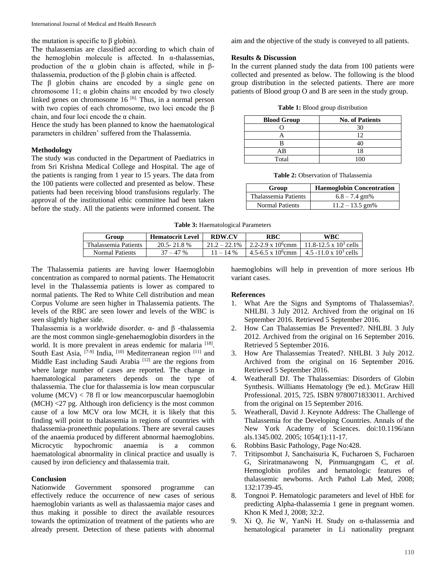the mutation is specific to β globin).

The thalassemias are classified according to which chain of the hemoglobin molecule is affected. In  $\alpha$ -thalassemias, production of the α globin chain is affected, while in  $β$ thalassemia, production of the β globin chain is affected.

The β globin chains are encoded by a single gene on chromosome 11;  $\alpha$  globin chains are encoded by two closely linked genes on chromosome 16<sup>[6].</sup> Thus, in a normal person with two copies of each chromosome, two loci encode the β chain, and four loci encode the  $\alpha$  chain.

Hence the study has been planned to know the haematological parameters in children' suffered from the Thalassemia.

## **Methodology**

The study was conducted in the Department of Paediatrics in from Sri Krishna Medical College and Hospital. The age of the patients is ranging from 1 year to 15 years. The data from the 100 patients were collected and presented as below. These patients had been receiving blood transfusions regularly. The approval of the institutional ethic committee had been taken before the study. All the patients were informed consent. The aim and the objective of the study is conveyed to all patients.

### **Results & Discussion**

In the current planned study the data from 100 patients were collected and presented as below. The following is the blood group distribution in the selected patients. There are more patients of Blood group O and B are seen in the study group.

| <b>Table 1:</b> Blood group distribution |  |  |
|------------------------------------------|--|--|
|------------------------------------------|--|--|

| <b>Blood Group</b> | <b>No. of Patients</b> |  |  |
|--------------------|------------------------|--|--|
|                    |                        |  |  |
|                    | 12                     |  |  |
|                    |                        |  |  |
| ΑB                 | 18                     |  |  |
| Total              |                        |  |  |

**Table 2:** Observation of Thalassemia

| Group                  | <b>Haemoglobin Concentration</b> |  |
|------------------------|----------------------------------|--|
| Thalassemia Patients   | $6.8 - 7.4$ gm%                  |  |
| <b>Normal Patients</b> | $11.2 - 13.5$ gm%                |  |

#### **Table 3:** Haematological Parameters

| Group                | <b>Hematocrit Level</b> | <b>RDW.CV</b> | <b>RBC</b>                                      | WBC                            |
|----------------------|-------------------------|---------------|-------------------------------------------------|--------------------------------|
| Thalassemia Patients | $20.5 - 21.8$ %         |               | $21.2 - 22.1\%$   2.2-2.9 x 10 <sup>6</sup> cmm | 11.8-12.5 x $10^3$ cells       |
| Normal Patients      | $37 - 47%$              | $11 - 14\%$   | 4.5-6.5 x 10 <sup>6</sup> cmm                   | $4.5 - 11.0 \times 10^3$ cells |

The Thalassemia patients are having lower Haemoglobin concentration as compared to normal patients. The Hematocrit level in the Thalassemia patients is lower as compared to normal patients. The Red to White Cell distribution and mean Corpus Volume are seen higher in Thalassemia patients. The levels of the RBC are seen lower and levels of the WBC is seen slightly higher side.

Thalassemia is a worldwide disorder. α- and β -thalassemia are the most common single-genehaemoglobin disorders in the world. It is more prevalent in areas endemic for malaria [18]. South East Asia,  $[7-9]$  India,  $[10]$  Mediterranean region  $[11]$  and Middle East including Saudi Arabia<sup>[12]</sup> are the regions from where large number of cases are reported. The change in haematological parameters depends on the type of thalassemia. The clue for thalassemia is low mean corpuscular volume  $(MCV) < 78$  fl or low meancorpuscular haemoglobin (MCH) <27 pg. Although iron deficiency is the most common cause of a low MCV ora low MCH, it is likely that this finding will point to thalassemia in regions of countries with thalassemia-proneethnic populations. There are several causes of the anaemia produced by different abnormal haemoglobins. Microcytic hypochromic anaemia is a common haematological abnormality in clinical practice and usually is caused by iron deficiency and thalassemia trait.

# **Conclusion**

Nationwide Government sponsored programme can effectively reduce the occurrence of new cases of serious haemoglobin variants as well as thalassaemia major cases and thus making it possible to direct the available resources towards the optimization of treatment of the patients who are already present. Detection of these patients with abnormal haemoglobins will help in prevention of more serious Hb variant cases.

# **References**

- 1. What Are the Signs and Symptoms of Thalassemias?. NHLBI. 3 July 2012. Archived from the original on 16 September 2016. Retrieved 5 September 2016.
- 2. How Can Thalassemias Be Prevented?. NHLBI. 3 July 2012. Archived from the original on 16 September 2016. Retrieved 5 September 2016.
- 3. How Are Thalassemias Treated?. NHLBI. 3 July 2012. Archived from the original on 16 September 2016. Retrieved 5 September 2016.
- 4. Weatherall DJ. The Thalassemias: Disorders of Globin Synthesis. Williams Hematology (9e ed.). McGraw Hill Professional. 2015, 725. ISBN 9780071833011. Archived from the original on 15 September 2016.
- 5. Weatherall, David J. Keynote Address: The Challenge of Thalassemia for the Developing Countries. Annals of the New York Academy of Sciences. doi:10.1196/ann als.1345.002. 2005; 1054(1):11-17.
- 6. Robbins Basic Pathology, Page No:428.
- 7. Tritipsombut J, Sanchaisuria K, Fucharoen S, Fucharoen G, Siriratmanawong N, Pinmuangngam C, *et al*. Hemoglobin profiles and hematologic features of thalassemic newborns. Arch Pathol Lab Med, 2008; 132:1739-45.
- 8. Tongnoi P. Hematologic parameters and level of HbE for predicting Alpha-thalassemia 1 gene in pregnant women. Khon K Med J, 2008; 32:2.
- 9. Xi Q, Jie W, YanNi H. Study on α-thalassemia and hematological parameter in Li nationality pregnant